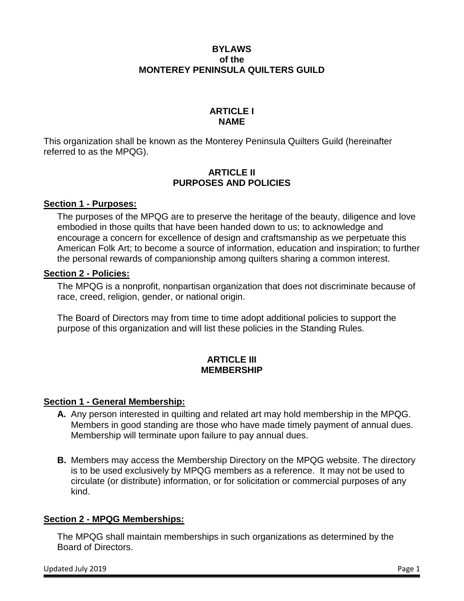## **BYLAWS of the MONTEREY PENINSULA QUILTERS GUILD**

## **ARTICLE I NAME**

This organization shall be known as the Monterey Peninsula Quilters Guild (hereinafter referred to as the MPQG).

## **ARTICLE II PURPOSES AND POLICIES**

## **Section 1 - Purposes:**

The purposes of the MPQG are to preserve the heritage of the beauty, diligence and love embodied in those quilts that have been handed down to us; to acknowledge and encourage a concern for excellence of design and craftsmanship as we perpetuate this American Folk Art; to become a source of information, education and inspiration; to further the personal rewards of companionship among quilters sharing a common interest.

### **Section 2 - Policies:**

The MPQG is a nonprofit, nonpartisan organization that does not discriminate because of race, creed, religion, gender, or national origin.

The Board of Directors may from time to time adopt additional policies to support the purpose of this organization and will list these policies in the Standing Rules.

## **ARTICLE III MEMBERSHIP**

## **Section 1 - General Membership:**

- **A.** Any person interested in quilting and related art may hold membership in the MPQG. Members in good standing are those who have made timely payment of annual dues. Membership will terminate upon failure to pay annual dues.
- **B.** Members may access the Membership Directory on the MPQG website. The directory is to be used exclusively by MPQG members as a reference. It may not be used to circulate (or distribute) information, or for solicitation or commercial purposes of any kind.

## **Section 2 - MPQG Memberships:**

The MPQG shall maintain memberships in such organizations as determined by the Board of Directors.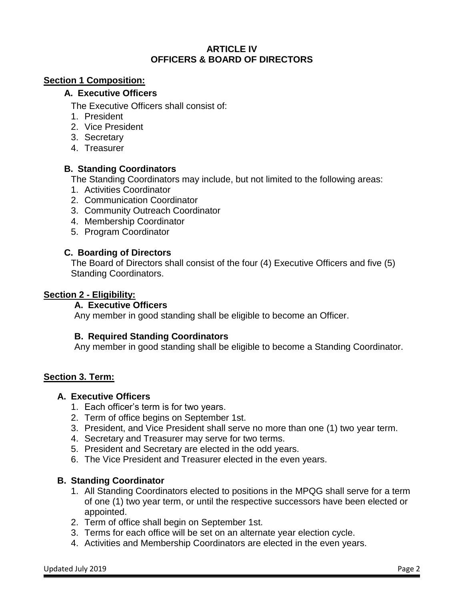### **ARTICLE IV OFFICERS & BOARD OF DIRECTORS**

### **Section 1 Composition:**

### **A. Executive Officers**

The Executive Officers shall consist of:

- 1. President
- 2. Vice President
- 3. Secretary
- 4. Treasurer

## **B. Standing Coordinators**

The Standing Coordinators may include, but not limited to the following areas:

- 1. Activities Coordinator
- 2. Communication Coordinator
- 3. Community Outreach Coordinator
- 4. Membership Coordinator
- 5. Program Coordinator

### **C. Boarding of Directors**

The Board of Directors shall consist of the four (4) Executive Officers and five (5) Standing Coordinators.

#### **Section 2 - Eligibility:**

#### **A. Executive Officers**

Any member in good standing shall be eligible to become an Officer.

## **B. Required Standing Coordinators**

Any member in good standing shall be eligible to become a Standing Coordinator.

#### **Section 3. Term:**

#### **A. Executive Officers**

- 1. Each officer's term is for two years.
- 2. Term of office begins on September 1st.
- 3. President, and Vice President shall serve no more than one (1) two year term.
- 4. Secretary and Treasurer may serve for two terms.
- 5. President and Secretary are elected in the odd years.
- 6. The Vice President and Treasurer elected in the even years.

## **B. Standing Coordinator**

- 1. All Standing Coordinators elected to positions in the MPQG shall serve for a term of one (1) two year term, or until the respective successors have been elected or appointed.
- 2. Term of office shall begin on September 1st.
- 3. Terms for each office will be set on an alternate year election cycle.
- 4. Activities and Membership Coordinators are elected in the even years.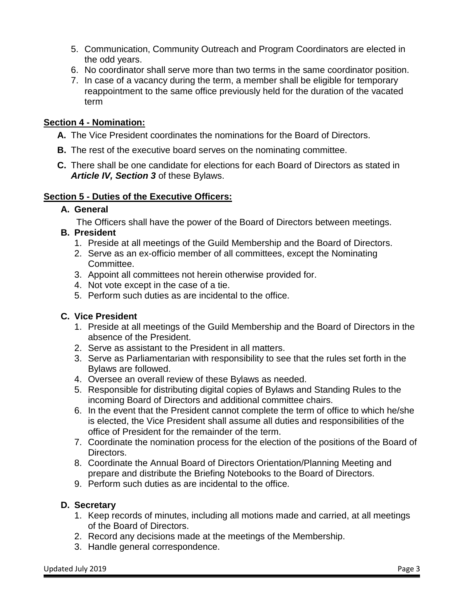- 5. Communication, Community Outreach and Program Coordinators are elected in the odd years.
- 6. No coordinator shall serve more than two terms in the same coordinator position.
- 7. In case of a vacancy during the term, a member shall be eligible for temporary reappointment to the same office previously held for the duration of the vacated term

## **Section 4 - Nomination:**

- **A.** The Vice President coordinates the nominations for the Board of Directors.
- **B.** The rest of the executive board serves on the nominating committee.
- **C.** There shall be one candidate for elections for each Board of Directors as stated in *Article IV, Section 3* of these Bylaws.

## **Section 5 - Duties of the Executive Officers:**

## **A. General**

The Officers shall have the power of the Board of Directors between meetings.

## **B. President**

- 1. Preside at all meetings of the Guild Membership and the Board of Directors.
- 2. Serve as an ex-officio member of all committees, except the Nominating Committee.
- 3. Appoint all committees not herein otherwise provided for.
- 4. Not vote except in the case of a tie.
- 5. Perform such duties as are incidental to the office.

# **C. Vice President**

- 1. Preside at all meetings of the Guild Membership and the Board of Directors in the absence of the President.
- 2. Serve as assistant to the President in all matters.
- 3. Serve as Parliamentarian with responsibility to see that the rules set forth in the Bylaws are followed.
- 4. Oversee an overall review of these Bylaws as needed.
- 5. Responsible for distributing digital copies of Bylaws and Standing Rules to the incoming Board of Directors and additional committee chairs.
- 6. In the event that the President cannot complete the term of office to which he/she is elected, the Vice President shall assume all duties and responsibilities of the office of President for the remainder of the term.
- 7. Coordinate the nomination process for the election of the positions of the Board of Directors.
- 8. Coordinate the Annual Board of Directors Orientation/Planning Meeting and prepare and distribute the Briefing Notebooks to the Board of Directors.
- 9. Perform such duties as are incidental to the office.

## **D. Secretary**

- 1. Keep records of minutes, including all motions made and carried, at all meetings of the Board of Directors.
- 2. Record any decisions made at the meetings of the Membership.
- 3. Handle general correspondence.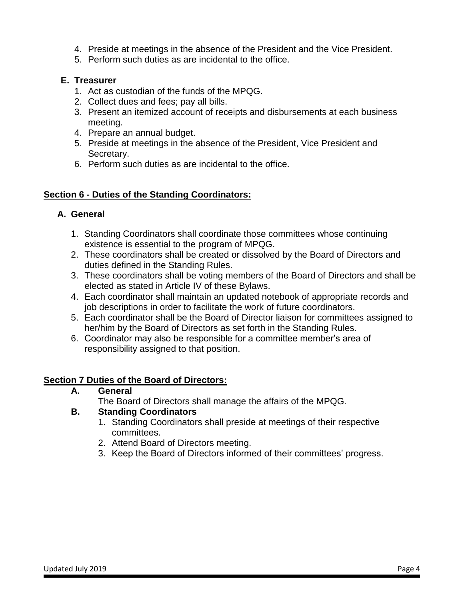- 4. Preside at meetings in the absence of the President and the Vice President.
- 5. Perform such duties as are incidental to the office.

## **E. Treasurer**

- 1. Act as custodian of the funds of the MPQG.
- 2. Collect dues and fees; pay all bills.
- 3. Present an itemized account of receipts and disbursements at each business meeting.
- 4. Prepare an annual budget.
- 5. Preside at meetings in the absence of the President, Vice President and Secretary.
- 6. Perform such duties as are incidental to the office.

## **Section 6 - Duties of the Standing Coordinators:**

## **A. General**

- 1. Standing Coordinators shall coordinate those committees whose continuing existence is essential to the program of MPQG.
- 2. These coordinators shall be created or dissolved by the Board of Directors and duties defined in the Standing Rules.
- 3. These coordinators shall be voting members of the Board of Directors and shall be elected as stated in Article IV of these Bylaws.
- 4. Each coordinator shall maintain an updated notebook of appropriate records and job descriptions in order to facilitate the work of future coordinators.
- 5. Each coordinator shall be the Board of Director liaison for committees assigned to her/him by the Board of Directors as set forth in the Standing Rules.
- 6. Coordinator may also be responsible for a committee member's area of responsibility assigned to that position.

## **Section 7 Duties of the Board of Directors:**

## **A. General**

The Board of Directors shall manage the affairs of the MPQG.

## **B. Standing Coordinators**

- 1. Standing Coordinators shall preside at meetings of their respective committees.
- 2. Attend Board of Directors meeting.
- 3. Keep the Board of Directors informed of their committees' progress.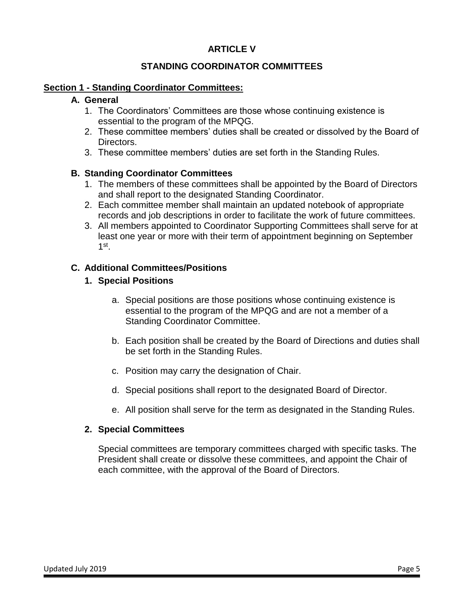## **ARTICLE V**

## **STANDING COORDINATOR COMMITTEES**

### **Section 1 - Standing Coordinator Committees:**

### **A. General**

- 1. The Coordinators' Committees are those whose continuing existence is essential to the program of the MPQG.
- 2. These committee members' duties shall be created or dissolved by the Board of Directors.
- 3. These committee members' duties are set forth in the Standing Rules.

### **B. Standing Coordinator Committees**

- 1. The members of these committees shall be appointed by the Board of Directors and shall report to the designated Standing Coordinator.
- 2. Each committee member shall maintain an updated notebook of appropriate records and job descriptions in order to facilitate the work of future committees.
- 3. All members appointed to Coordinator Supporting Committees shall serve for at least one year or more with their term of appointment beginning on September 1 st .

### **C. Additional Committees/Positions**

### **1. Special Positions**

- a. Special positions are those positions whose continuing existence is essential to the program of the MPQG and are not a member of a Standing Coordinator Committee.
- b. Each position shall be created by the Board of Directions and duties shall be set forth in the Standing Rules.
- c. Position may carry the designation of Chair.
- d. Special positions shall report to the designated Board of Director.
- e. All position shall serve for the term as designated in the Standing Rules.

#### **2. Special Committees**

Special committees are temporary committees charged with specific tasks. The President shall create or dissolve these committees, and appoint the Chair of each committee, with the approval of the Board of Directors.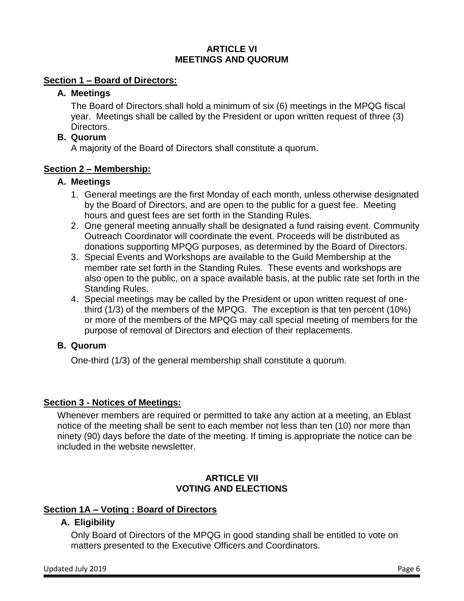## **ARTICLE VI MEETINGS AND QUORUM**

## **Section 1 – Board of Directors:**

## **A. Meetings**

The Board of Directors shall hold a minimum of six (6) meetings in the MPQG fiscal year. Meetings shall be called by the President or upon written request of three (3) Directors.

## **B. Quorum**

A majority of the Board of Directors shall constitute a quorum.

## **Section 2 – Membership:**

## **A. Meetings**

- 1. General meetings are the first Monday of each month, unless otherwise designated by the Board of Directors, and are open to the public for a guest fee. Meeting hours and guest fees are set forth in the Standing Rules.
- 2. One general meeting annually shall be designated a fund raising event. Community Outreach Coordinator will coordinate the event. Proceeds will be distributed as donations supporting MPQG purposes, as determined by the Board of Directors.
- 3. Special Events and Workshops are available to the Guild Membership at the member rate set forth in the Standing Rules. These events and workshops are also open to the public, on a space available basis, at the public rate set forth in the Standing Rules.
- 4. Special meetings may be called by the President or upon written request of onethird (1/3) of the members of the MPQG. The exception is that ten percent (10%) or more of the members of the MPQG may call special meeting of members for the purpose of removal of Directors and election of their replacements.

# **B. Quorum**

One-third (1/3) of the general membership shall constitute a quorum.

# **Section 3 - Notices of Meetings:**

Whenever members are required or permitted to take any action at a meeting, an Eblast notice of the meeting shall be sent to each member not less than ten (10) nor more than ninety (90) days before the date of the meeting. If timing is appropriate the notice can be included in the website newsletter.

## **ARTICLE VII VOTING AND ELECTIONS**

# **Section 1A – Voting : Board of Directors**

# **A. Eligibility**

Only Board of Directors of the MPQG in good standing shall be entitled to vote on matters presented to the Executive Officers and Coordinators.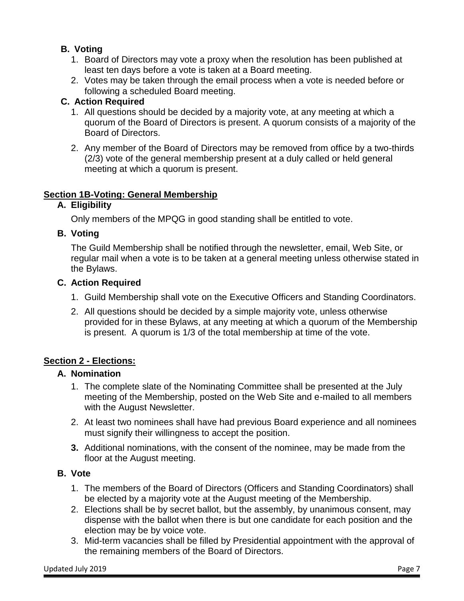# **B. Voting**

- 1. Board of Directors may vote a proxy when the resolution has been published at least ten days before a vote is taken at a Board meeting.
- 2. Votes may be taken through the email process when a vote is needed before or following a scheduled Board meeting.

# **C. Action Required**

- 1. All questions should be decided by a majority vote, at any meeting at which a quorum of the Board of Directors is present. A quorum consists of a majority of the Board of Directors.
- 2. Any member of the Board of Directors may be removed from office by a two-thirds (2/3) vote of the general membership present at a duly called or held general meeting at which a quorum is present.

## **Section 1B-Voting: General Membership**

## **A. Eligibility**

Only members of the MPQG in good standing shall be entitled to vote.

## **B. Voting**

The Guild Membership shall be notified through the newsletter, email, Web Site, or regular mail when a vote is to be taken at a general meeting unless otherwise stated in the Bylaws.

## **C. Action Required**

- 1. Guild Membership shall vote on the Executive Officers and Standing Coordinators.
- 2. All questions should be decided by a simple majority vote, unless otherwise provided for in these Bylaws, at any meeting at which a quorum of the Membership is present. A quorum is 1/3 of the total membership at time of the vote.

# **Section 2 - Elections:**

# **A. Nomination**

- 1. The complete slate of the Nominating Committee shall be presented at the July meeting of the Membership, posted on the Web Site and e-mailed to all members with the August Newsletter.
- 2. At least two nominees shall have had previous Board experience and all nominees must signify their willingness to accept the position.
- **3.** Additional nominations, with the consent of the nominee, may be made from the floor at the August meeting.

# **B. Vote**

- 1. The members of the Board of Directors (Officers and Standing Coordinators) shall be elected by a majority vote at the August meeting of the Membership.
- 2. Elections shall be by secret ballot, but the assembly, by unanimous consent, may dispense with the ballot when there is but one candidate for each position and the election may be by voice vote.
- 3. Mid-term vacancies shall be filled by Presidential appointment with the approval of the remaining members of the Board of Directors.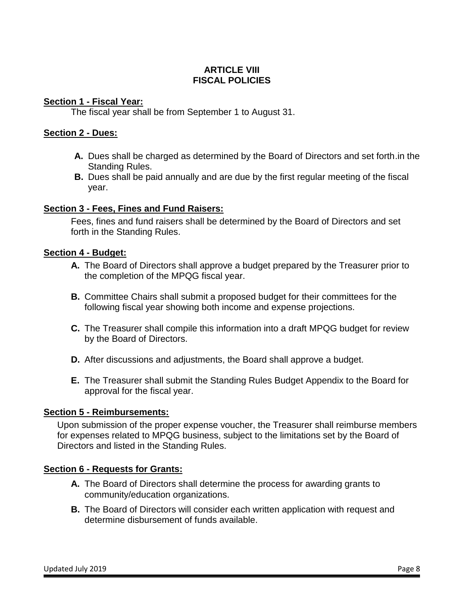## **ARTICLE VIII FISCAL POLICIES**

### **Section 1 - Fiscal Year:**

The fiscal year shall be from September 1 to August 31.

### **Section 2 - Dues:**

- **A.** Dues shall be charged as determined by the Board of Directors and set forth.in the Standing Rules.
- **B.** Dues shall be paid annually and are due by the first regular meeting of the fiscal year.

## **Section 3 - Fees, Fines and Fund Raisers:**

Fees, fines and fund raisers shall be determined by the Board of Directors and set forth in the Standing Rules.

### **Section 4 - Budget:**

- **A.** The Board of Directors shall approve a budget prepared by the Treasurer prior to the completion of the MPQG fiscal year.
- **B.** Committee Chairs shall submit a proposed budget for their committees for the following fiscal year showing both income and expense projections.
- **C.** The Treasurer shall compile this information into a draft MPQG budget for review by the Board of Directors.
- **D.** After discussions and adjustments, the Board shall approve a budget.
- **E.** The Treasurer shall submit the Standing Rules Budget Appendix to the Board for approval for the fiscal year.

## **Section 5 - Reimbursements:**

Upon submission of the proper expense voucher, the Treasurer shall reimburse members for expenses related to MPQG business, subject to the limitations set by the Board of Directors and listed in the Standing Rules.

#### **Section 6 - Requests for Grants:**

- **A.** The Board of Directors shall determine the process for awarding grants to community/education organizations.
- **B.** The Board of Directors will consider each written application with request and determine disbursement of funds available.